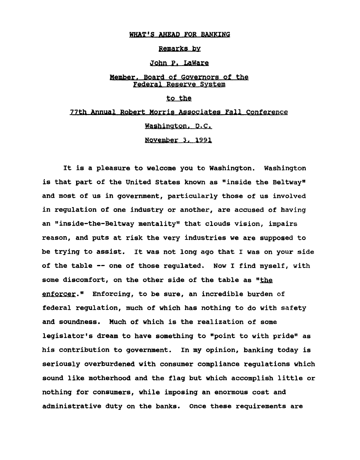### WHAT'S AHEAD FOR BANKING

#### Remarks by

## John P. LaWare

# Member. Board of Governors of the Federal Reserve System

### to the

# 77th Annual Robert Morris Associates Fall Conference Washington, D.C. November 3, 1991

It is a pleasure to welcome you to Washington. Washington is that part of the United States known as "inside the Beltway" and most of us in government, particularly those of us involved in regulation of one industry or another, are accused of having an "inside-the-Beltway mentality" that clouds vision, impairs reason, and puts at risk the very industries we are supposed to be trying to assist. It was not long ago that I was on your side of the table -- one of those regulated. Now I find myself, with some discomfort, on the other side of the table as "the enforcer." Enforcing, to be sure, an incredible burden of federal regulation, much of which has nothing to do with safety and soundness. Much of which is the realization of some legislator's dream to have something to "point to with pride" as his contribution to government. In my opinion, banking today is seriously overburdened with consumer compliance regulations which sound like motherhood and the flag but which accomplish little or nothing for consumers, while imposing an enormous cost and administrative duty on the banks. Once these requirements are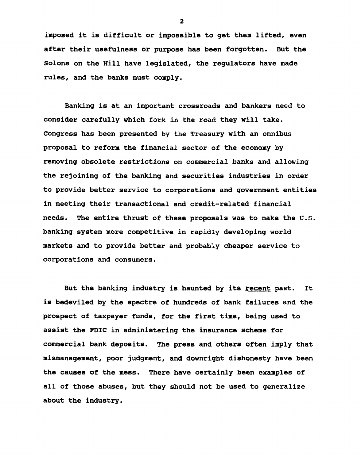imposed it is difficult or impossible to get them lifted, even after their usefulness or purpose has been forgotten. But the Solons on the Hill have legislated, the regulators have made rules, and the banks must comply.

Banking is at an important crossroads and bankers need to consider carefully which fork in the road they will take. Congress has been presented by the Treasury with an omnibus proposal to reform the financial sector of the economy by removing obsolete restrictions on commercial banks and allowing the rejoining of the banking and securities industries in order to provide better service to corporations and government entities in meeting their transactional and credit-related financial needs. The entire thrust of these proposals was to make the U.S. banking system more competitive in rapidly developing world markets and to provide better and probably cheaper service to corporations and consumers.

But the banking industry is haunted by its recent past. It is bedeviled by the spectre of hundreds of bank failures and the prospect of taxpayer funds, for the first time, being used to assist the FDIC in administering the insurance scheme for commercial bank deposits. The press and others often imply that mismanagement, poor judgment, and downright dishonesty have been the causes of the mess. There have certainly been examples of all of those abuses, but they should not be used to generalize about the industry.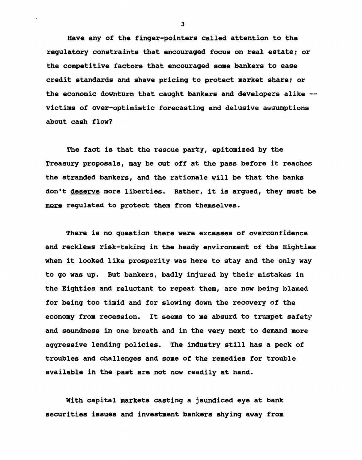Have any of the finger-pointers called attention to the regulatory constraints that encouraged focus on real estate; or the competitive factors that encouraged some bankers to ease credit standards and shave pricing to protect market share; or the economic downturn that caught bankers and developers alike -victims of over-optimistic forecasting and delusive assumptions about cash flow?

The fact is that the rescue party, epitomized by the Treasury proposals, may be cut off at the pass before it reaches the stranded bankers, and the rationale will be that the banks don't deserve more liberties. Rather, it is argued, they must be more regulated to protect them from themselves.

There is no question there were excesses of overconfidence and reckless risk-taking in the heady environment of the Eighties when it looked like prosperity was here to stay and the only way to go was up. But bankers, badly injured by their mistakes in the Eighties and reluctant to repeat them, are now being blamed for being too timid and for slowing down the recovery of the economy from recession. It seems to me absurd to trumpet safety and soundness in one breath and in the very next to demand more aggressive lending policies. The industry still has a peck of troubles and challenges and some of the remedies for trouble available in the past are not now readily at hand.

With capital markets casting a jaundiced eye at bank securities issues and investment bankers shying away from

 $\overline{\mathbf{3}}$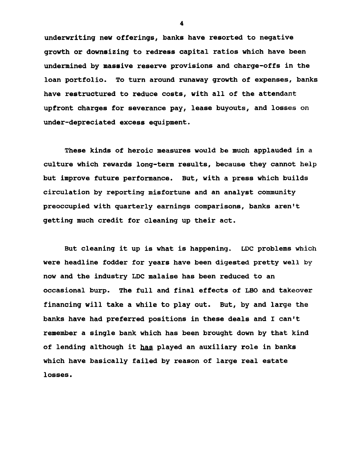underwriting new offerings, banks have resorted to negative growth or downsizing to redress capital ratios which have been undermined by massive reserve provisions and charge-offs in the loan portfolio. To turn around runaway growth of expenses, banks have restructured to reduce costs, with all of the attendant upfront charges for severance pay, lease buyouts, and losses on under-depreciated excess equipment.

These kinds of heroic measures would be much applauded in a culture which rewards long-term results, because they cannot help but improve future performance. But, with a press which builds circulation by reporting misfortune and an analyst community preoccupied with quarterly earnings comparisons, banks aren't getting much credit for cleaning up their act.

But cleaning it up is what is happening. LDC problems which were headline fodder for years have been digested pretty well by now and the industry LDC malaise has been reduced to an occasional burp. The full and final effects of LBO and takeover financing will take a while to play out. But, by and large the banks have had preferred positions in these deals and I can't remember a single bank which has been brought down by that kind of lending although it has played an auxiliary role in banks which have basically failed by reason of large real estate losses.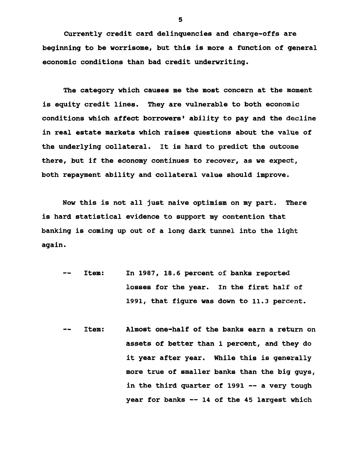Currently credit card delinquencies and charge-offs are beginning to be worrisome, but this is more a function of general economic conditions than bad credit underwriting.

The category which causes me the most concern at the moment is equity credit lines. They are vulnerable to both economic conditions which affect borrowers' ability to pay and the decline in real estate markets which raises questions about the value of the underlying collateral. It is hard to predict the outcome there, but if the economy continues to recover, as we expect, both repayment ability and collateral value should improve.

Now this is not all just naive optimism on my part. There is hard statistical evidence to support my contention that banking is coming up out of a long dark tunnel into the light again.

- Item: In 1987, 18.6 percent of banks reported  $-\,$ losses for the year. In the first half of 1991, that figure was down to 11.3 percent.
- Item: Almost one-half of the banks earn a return on  $-$ assets of better than 1 percent, and they do it year after year. While this is generally more true of smaller banks than the big guys, in the third quarter of 1991 -- a very tough year for banks -- 14 of the 45 largest which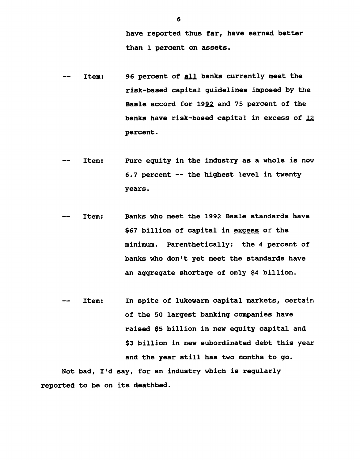have reported thus far, have earned better than 1 percent on assets.

- Item: 96 percent of all banks currently meet the  $\overline{\phantom{m}}$ risk-based capital guidelines imposed by the Basle accord for 1992 and 75 percent of the banks have risk-based capital in excess of *£.£* percent.
- Item: Pure equity in the industry as a whole is now  $\sim$ 6.7 percent — the highest level in twenty years.
- Item: Banks who meet the 1992 Basle standards have  $\rightarrow$   $\rightarrow$ \$67 billion of capital in excess of the minimum. Parenthetically: the 4 percent of banks who don't yet meet the standards have an aggregate shortage of only \$4 billion.
- Item: In spite of lukewarm capital markets, certain  $-$ of the 50 largest banking companies have raised \$5 billion in new equity capital and \$3 billion in new subordinated debt this year and the year still has two months to go. Not bad, I'd say, for an industry which is regularly

reported to be on its deathbed.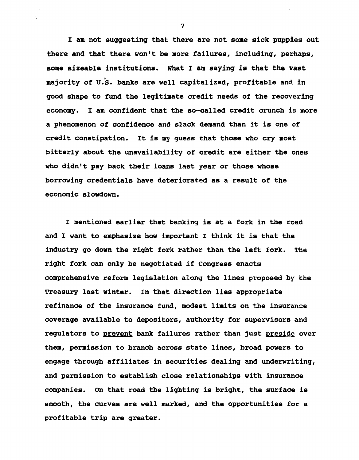I am not suggesting that there are not some sick puppies out there and that there won't be more failures, including, perhaps, some sizeable institutions. What I am saying is that the vast majority of U.S. banks are well capitalized, profitable and in good shape to fund the legitimate credit needs of the recovering economy. I am confident that the so-called credit crunch is more a phenomenon of confidence and slack demand than it is one of credit constipation. It is my guess that those who cry most bitterly about the unavailability of credit are either the ones who didn't pay back their loans last year or those whose borrowing credentials have deteriorated as a result of the economic slowdown.

I mentioned earlier that banking is at a fork in the road and I want to emphasize how important I think it is that the industry go down the right fork rather than the left fork. The right fork can only be negotiated if Congress enacts comprehensive reform legislation along the lines proposed by the Treasury last winter. In that direction lies appropriate refinance of the insurance fund, modest limits on the insurance coverage available to depositors, authority for supervisors and regulators to prevent bank failures rather than just preside over them, permission to branch across state lines, broad powers to engage through affiliates in securities dealing and underwriting, and permission to establish close relationships with insurance companies. On that road the lighting is bright, the surface is smooth, the curves are well marked, and the opportunities for a profitable trip are greater.

 $\overline{\mathbf{z}}$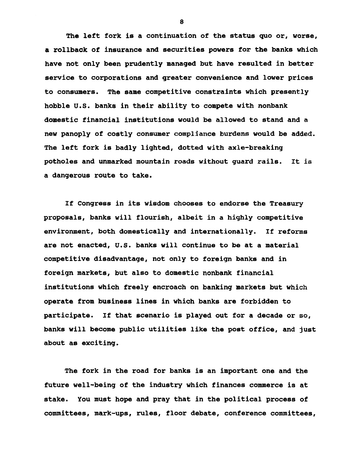The left fork is a continuation of the status quo or, worse, a rollback of insurance and securities powers for the banks which have not only been prudently managed but have resulted in better service to corporations and greater convenience and lower prices to consumers. The same competitive constraints which presently hobble U.S. banks in their ability to compete with nonbank domestic financial institutions would be allowed to stand and a new panoply of costly consumer compliance burdens would be added. The left fork is badly lighted, dotted with axle-breaking potholes and unmarked mountain roads without guard rails. It ia a dangerous route to take.

If Congress in its wisdom chooses to endorse the Treasury proposals, banks will flourish, albeit in a highly competitive environment, both domestically and internationally. If reforms are not enacted, U.S. banks will continue to be at a material competitive disadvantage, not only to foreign banks and in foreign markets, but also to domestic nonbank financial institutions which freely encroach on banking markets but which operate from business lines in which banks are forbidden to participate. If that scenario is played out for a decade or so, banks will become public utilities like the post office, and just about as exciting.

The fork in the road for banks is an important one and the future well-being of the industry which finances commerce is at stake. You must hope and pray that in the political process of committees, mark~ups, rules, floor debate, conference committees,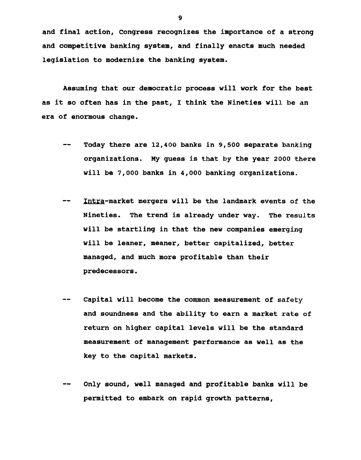and final action, Congress recognizes the importance of a strong and competitive banking system, and finally enacts much needed legislation to modernize the banking system.

Assuming that our democratic process will work for the best as it so often has in the past, I think the Nineties will be an era of enormous change.

- $-$ Today there are 12,400 banks in 9,500 separate banking organizations. My guess is that by the year 2000 there will be 7,000 banks in 4,000 banking organizations.
- Intra-market mergers will be the landmark events of the --Nineties. The trend is already under way. The results will be startling in that the new companies emerging will be leaner, meaner, better capitalized, better managed, and much more profitable than their predecessors.
- Capital will become the common measurement of safety and soundness and the ability to earn a market rate of return on higher capital levels will be the standard measurement of management performance as well as the key to the capital markets.
- Only sound, well managed and profitable banks will be permitted to embark on rapid growth patterns,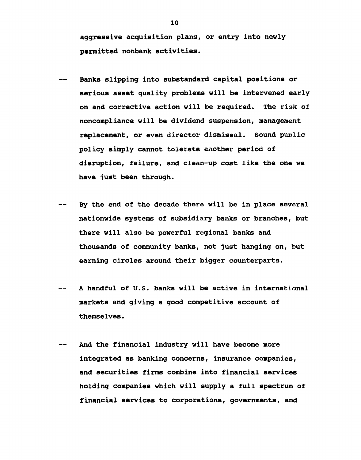aggressive acquisition plans, or entry into newly permitted nonbank activities.

- Banks slipping into substandard capital positions or serious asset quality problems will be intervened early on and corrective action will be required. The risk of noncompliance will be dividend suspension, management replacement, or even director dismissal. Sound public policy simply cannot tolerate another period of disruption, failure, and clean-up cost like the one we have just been through.
- By the end of the decade there will be in place several nationwide systems of subsidiary banks or branches, but there will also be powerful regional banks and thousands of community banks, not just hanging on, but earning circles around their bigger counterparts.
- A handful of U.S. banks will be active in international markets and giving a good competitive account of themselves.
- And the financial industry will have become more  $\qquad \qquad \blacksquare$ integrated as banking concerns, insurance companies, and securities firms combine into financial services holding companies which will supply a full spectrum of financial services to corporations, governments, and